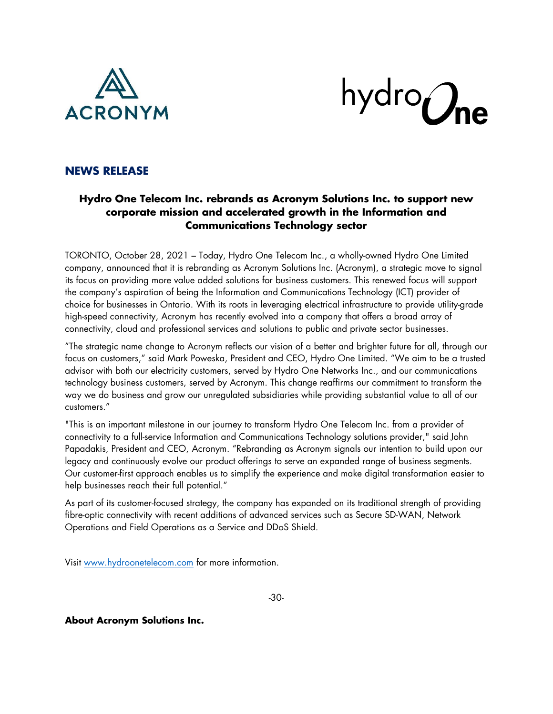



## **NEWS RELEASE**

## **Hydro One Telecom Inc. rebrands as Acronym Solutions Inc. to support new corporate mission and accelerated growth in the Information and Communications Technology sector**

TORONTO, October 28, 2021 – Today, Hydro One Telecom Inc., a wholly-owned Hydro One Limited company, announced that it is rebranding as Acronym Solutions Inc. (Acronym), a strategic move to signal its focus on providing more value added solutions for business customers. This renewed focus will support the company's aspiration of being the Information and Communications Technology (ICT) provider of choice for businesses in Ontario. With its roots in leveraging electrical infrastructure to provide utility-grade high-speed connectivity, Acronym has recently evolved into a company that offers a broad array of connectivity, cloud and professional services and solutions to public and private sector businesses.

"The strategic name change to Acronym reflects our vision of a better and brighter future for all, through our focus on customers," said Mark Poweska, President and CEO, Hydro One Limited. "We aim to be a trusted advisor with both our electricity customers, served by Hydro One Networks Inc., and our communications technology business customers, served by Acronym. This change reaffirms our commitment to transform the way we do business and grow our unregulated subsidiaries while providing substantial value to all of our customers."

"This is an important milestone in our journey to transform Hydro One Telecom Inc. from a provider of connectivity to a full-service Information and Communications Technology solutions provider," said John Papadakis, President and CEO, Acronym. "Rebranding as Acronym signals our intention to build upon our legacy and continuously evolve our product offerings to serve an expanded range of business segments. Our customer-first approach enables us to simplify the experience and make digital transformation easier to help businesses reach their full potential."

As part of its customer-focused strategy, the company has expanded on its traditional strength of providing fibre-optic connectivity with recent additions of advanced services such as Secure SD-WAN, Network Operations and Field Operations as a Service and DDoS Shield.

Visit [www.hydroonetelecom.com](http://www.hydroonetelecom.com/) for more information.

-30-

**About Acronym Solutions Inc.**